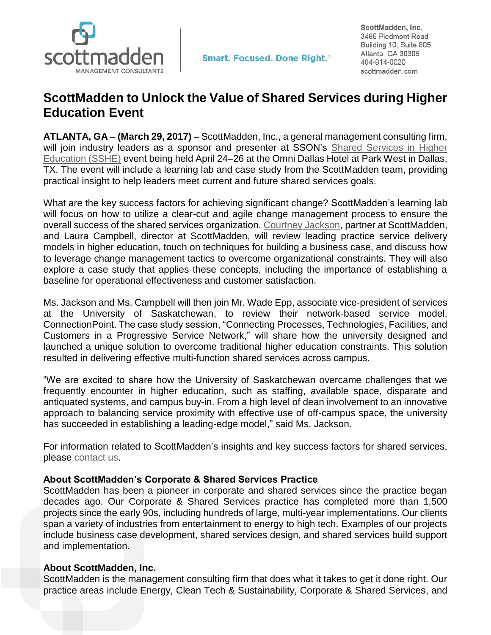

ScottMadden, Inc. 3495 Piedmont Road Building 10, Suite 805 Atlanta, GA 30305 404-814-0020 scottmadden.com

## **ScottMadden to Unlock the Value of Shared Services during Higher Education Event**

**ATLANTA, GA – (March 29, 2017) –** ScottMadden, Inc., a general management consulting firm, will join industry leaders as a sponsor and presenter at SSON's [Shared Services in Higher](https://sharedserviceshighered.iqpc.com/) [Education \(SSHE\)](https://sharedserviceshighered.iqpc.com/) event being held April 24–26 at the Omni Dallas Hotel at Park West in Dallas, TX. The event will include a learning lab and case study from the ScottMadden team, providing practical insight to help leaders meet current and future shared services goals.

What are the key success factors for achieving significant change? ScottMadden's learning lab will focus on how to utilize a clear-cut and agile change management process to ensure the overall success of the shared services organization. [Courtney Jackson,](http://www.scottmadden.com/person/courtney-jackson/) partner at ScottMadden, and Laura Campbell, director at ScottMadden, will review leading practice service delivery models in higher education, touch on techniques for building a business case, and discuss how to leverage change management tactics to overcome organizational constraints. They will also explore a case study that applies these concepts, including the importance of establishing a baseline for operational effectiveness and customer satisfaction.

Ms. Jackson and Ms. Campbell will then join Mr. Wade Epp, associate vice-president of services at the University of Saskatchewan, to review their network-based service model, ConnectionPoint. The case study session, "Connecting Processes, Technologies, Facilities, and Customers in a Progressive Service Network," will share how the university designed and launched a unique solution to overcome traditional higher education constraints. This solution resulted in delivering effective multi-function shared services across campus.

"We are excited to share how the University of Saskatchewan overcame challenges that we frequently encounter in higher education, such as staffing, available space, disparate and antiquated systems, and campus buy-in. From a high level of dean involvement to an innovative approach to balancing service proximity with effective use of off-campus space, the university has succeeded in establishing a leading-edge model," said Ms. Jackson.

For information related to ScottMadden's insights and key success factors for shared services, please [contact us.](http://www.scottmadden.com/contact-us/)

## **About ScottMadden's Corporate & Shared Services Practice**

ScottMadden has been a pioneer in corporate and shared services since the practice began decades ago. Our Corporate & Shared Services practice has completed more than 1,500 projects since the early 90s, including hundreds of large, multi-year implementations. Our clients span a variety of industries from entertainment to energy to high tech. Examples of our projects include business case development, shared services design, and shared services build support and implementation.

## **About ScottMadden, Inc.**

ScottMadden is the management consulting firm that does what it takes to get it done right. Our practice areas include Energy, Clean Tech & Sustainability, Corporate & Shared Services, and